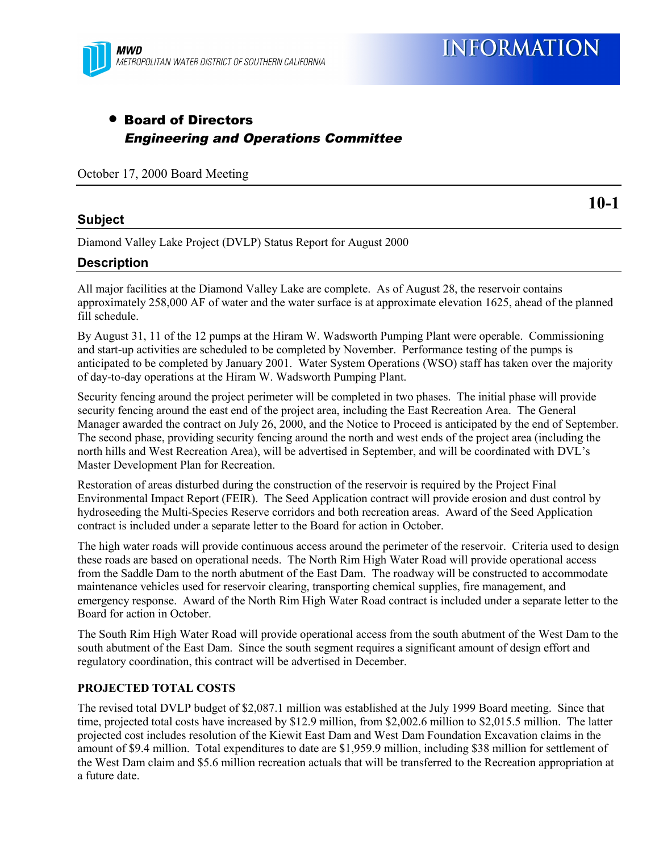

### • Board of Directors Engineering and Operations Committee

October 17, 2000 Board Meeting

#### **Subject**

**10-1**

Diamond Valley Lake Project (DVLP) Status Report for August 2000

#### **Description**

All major facilities at the Diamond Valley Lake are complete. As of August 28, the reservoir contains approximately 258,000 AF of water and the water surface is at approximate elevation 1625, ahead of the planned fill schedule.

By August 31, 11 of the 12 pumps at the Hiram W. Wadsworth Pumping Plant were operable. Commissioning and start-up activities are scheduled to be completed by November. Performance testing of the pumps is anticipated to be completed by January 2001. Water System Operations (WSO) staff has taken over the majority of day-to-day operations at the Hiram W. Wadsworth Pumping Plant.

Security fencing around the project perimeter will be completed in two phases. The initial phase will provide security fencing around the east end of the project area, including the East Recreation Area. The General Manager awarded the contract on July 26, 2000, and the Notice to Proceed is anticipated by the end of September. The second phase, providing security fencing around the north and west ends of the project area (including the north hills and West Recreation Area), will be advertised in September, and will be coordinated with DVL's Master Development Plan for Recreation.

Restoration of areas disturbed during the construction of the reservoir is required by the Project Final Environmental Impact Report (FEIR). The Seed Application contract will provide erosion and dust control by hydroseeding the Multi-Species Reserve corridors and both recreation areas. Award of the Seed Application contract is included under a separate letter to the Board for action in October.

The high water roads will provide continuous access around the perimeter of the reservoir. Criteria used to design these roads are based on operational needs. The North Rim High Water Road will provide operational access from the Saddle Dam to the north abutment of the East Dam. The roadway will be constructed to accommodate maintenance vehicles used for reservoir clearing, transporting chemical supplies, fire management, and emergency response. Award of the North Rim High Water Road contract is included under a separate letter to the Board for action in October.

The South Rim High Water Road will provide operational access from the south abutment of the West Dam to the south abutment of the East Dam. Since the south segment requires a significant amount of design effort and regulatory coordination, this contract will be advertised in December.

#### **PROJECTED TOTAL COSTS**

The revised total DVLP budget of \$2,087.1 million was established at the July 1999 Board meeting. Since that time, projected total costs have increased by \$12.9 million, from \$2,002.6 million to \$2,015.5 million. The latter projected cost includes resolution of the Kiewit East Dam and West Dam Foundation Excavation claims in the amount of \$9.4 million. Total expenditures to date are \$1,959.9 million, including \$38 million for settlement of the West Dam claim and \$5.6 million recreation actuals that will be transferred to the Recreation appropriation at a future date.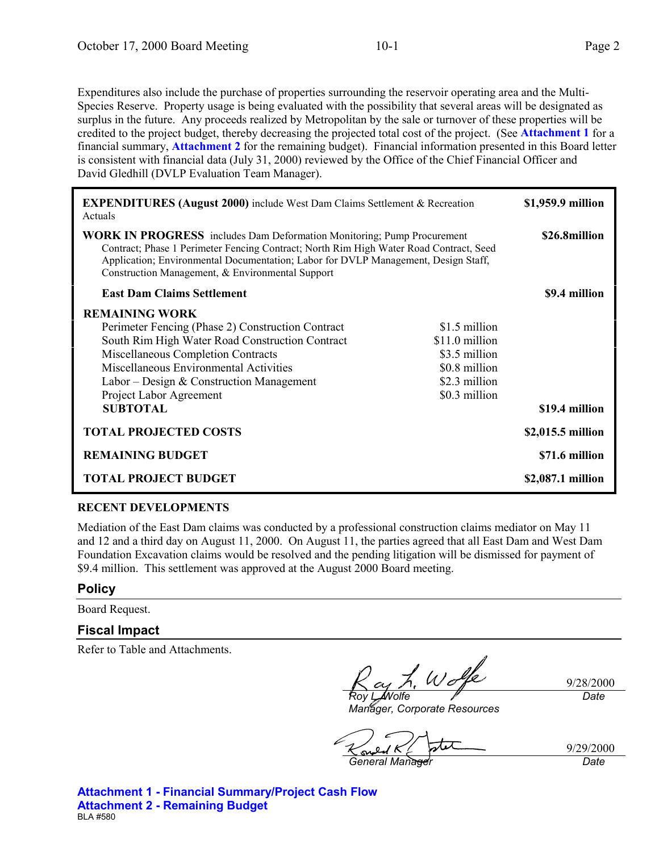Expenditures also include the purchase of properties surrounding the reservoir operating area and the Multi-Species Reserve. Property usage is being evaluated with the possibility that several areas will be designated as surplus in the future. Any proceeds realized by Metropolitan by the sale or turnover of these properties will be credited to the project budget, thereby decreasing the projected total cost of the project. (See **Attachment 1** for a financial summary, **Attachment 2** for the remaining budget). Financial information presented in this Board letter is consistent with financial data (July 31, 2000) reviewed by the Office of the Chief Financial Officer and David Gledhill (DVLP Evaluation Team Manager).

| <b>EXPENDITURES (August 2000)</b> include West Dam Claims Settlement & Recreation<br>Actuals                                                                                                                                                                                                                      |                                                                                                     | \$1,959.9 million |
|-------------------------------------------------------------------------------------------------------------------------------------------------------------------------------------------------------------------------------------------------------------------------------------------------------------------|-----------------------------------------------------------------------------------------------------|-------------------|
| <b>WORK IN PROGRESS</b> includes Dam Deformation Monitoring; Pump Procurement<br>Contract; Phase 1 Perimeter Fencing Contract; North Rim High Water Road Contract, Seed<br>Application; Environmental Documentation; Labor for DVLP Management, Design Staff,<br>Construction Management, & Environmental Support |                                                                                                     | \$26.8million     |
| <b>East Dam Claims Settlement</b>                                                                                                                                                                                                                                                                                 |                                                                                                     | \$9.4 million     |
| <b>REMAINING WORK</b><br>Perimeter Fencing (Phase 2) Construction Contract<br>South Rim High Water Road Construction Contract<br>Miscellaneous Completion Contracts<br>Miscellaneous Environmental Activities<br>Labor – Design & Construction Management<br>Project Labor Agreement<br><b>SUBTOTAL</b>           | \$1.5 million<br>\$11.0 million<br>\$3.5 million<br>\$0.8 million<br>\$2.3 million<br>\$0.3 million | \$19.4 million    |
| <b>TOTAL PROJECTED COSTS</b>                                                                                                                                                                                                                                                                                      |                                                                                                     | \$2,015.5 million |
| <b>REMAINING BUDGET</b>                                                                                                                                                                                                                                                                                           |                                                                                                     | \$71.6 million    |
| <b>TOTAL PROJECT BUDGET</b>                                                                                                                                                                                                                                                                                       |                                                                                                     | \$2,087.1 million |

#### **RECENT DEVELOPMENTS**

Mediation of the East Dam claims was conducted by a professional construction claims mediator on May 11 and 12 and a third day on August 11, 2000. On August 11, the parties agreed that all East Dam and West Dam Foundation Excavation claims would be resolved and the pending litigation will be dismissed for payment of \$9.4 million. This settlement was approved at the August 2000 Board meeting.

#### **Policy**

Board Request.

#### **Fiscal Impact**

Refer to Table and Attachments.

9/28/2000 *Date*

*Roy L. Wolfe Manager, Corporate Resources*

9/29/2000

*General Manager Date*

**Attachment 1 - Financial Summary/Project Cash Flow Attachment 2 - Remaining Budget** BLA #580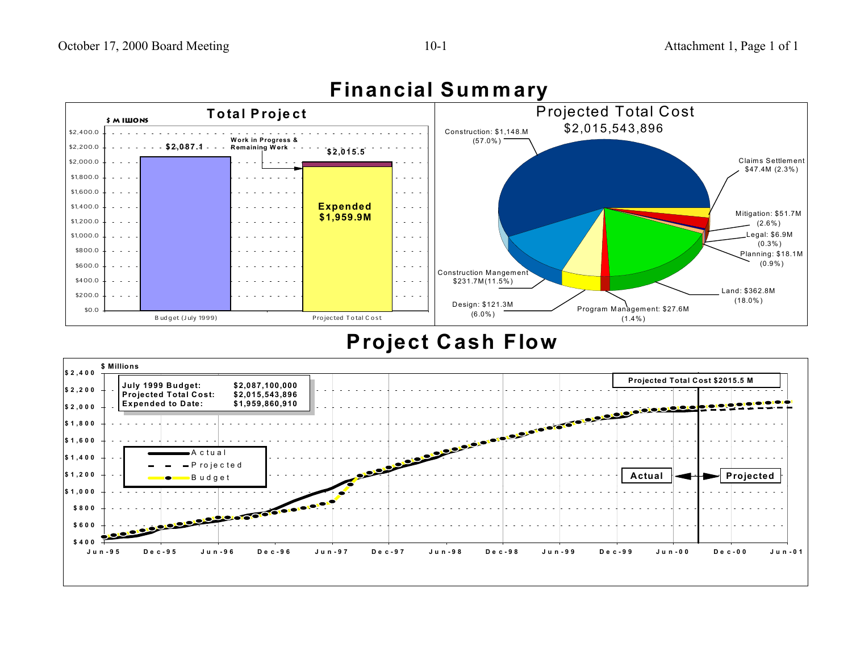

### **Financial Summary**

## **Project Cash Flow**